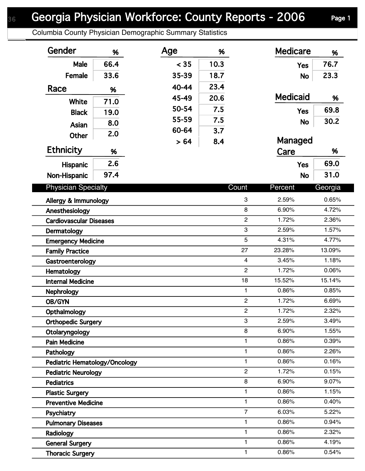## Georgia Physician Workforce: County Reports - 2006 Page 1

Columbia County Physician Demographic Summary Statistics

| Gender                                           | %    | Age   | %            |                | <b>Medicare</b> | %       |
|--------------------------------------------------|------|-------|--------------|----------------|-----------------|---------|
| Male                                             | 66.4 | < 35  | 10.3         |                | <b>Yes</b>      | 76.7    |
| Female                                           | 33.6 | 35-39 | 18.7         |                | <b>No</b>       | 23.3    |
| Race                                             | %    | 40-44 | 23.4         |                |                 |         |
|                                                  |      | 45-49 | 20.6         |                | <b>Medicaid</b> | %       |
| White                                            | 71.0 | 50-54 | 7.5          |                | <b>Yes</b>      | 69.8    |
| <b>Black</b>                                     | 19.0 | 55-59 | 7.5          |                |                 | 30.2    |
| Asian                                            | 8.0  | 60-64 | 3.7          |                | <b>No</b>       |         |
| Other                                            | 2.0  | > 64  | 8.4          |                | Managed         |         |
| <b>Ethnicity</b>                                 | %    |       |              |                | Care            | %       |
| Hispanic                                         | 2.6  |       |              |                | <b>Yes</b>      | 69.0    |
| Non-Hispanic                                     | 97.4 |       |              |                | <b>No</b>       | 31.0    |
|                                                  |      |       |              |                |                 |         |
| <b>Physician Specialty</b>                       |      |       |              | Count          | Percent         | Georgia |
| 3<br>Allergy & Immunology                        |      |       |              | 2.59%          | 0.65%           |         |
| 8<br>Anesthesiology                              |      |       |              | 6.90%          | 4.72%           |         |
| $\overline{2}$<br><b>Cardiovascular Diseases</b> |      |       |              | 1.72%          | 2.36%           |         |
| 3<br>Dermatology                                 |      |       |              | 2.59%          | 1.57%           |         |
| <b>Emergency Medicine</b>                        |      |       |              | 5              | 4.31%           | 4.77%   |
| <b>Family Practice</b>                           |      |       |              | 27             | 23.28%          | 13.09%  |
| Gastroenterology                                 |      |       |              | $\overline{4}$ | 3.45%           | 1.18%   |
| Hematology                                       |      |       |              | $\overline{2}$ | 1.72%           | 0.06%   |
| <b>Internal Medicine</b>                         |      |       |              | 18             | 15.52%          | 15.14%  |
| <b>Nephrology</b>                                |      |       |              | $\mathbf{1}$   | 0.86%           | 0.85%   |
| OB/GYN                                           |      |       |              | $\overline{c}$ | 1.72%           | 6.69%   |
| Opthalmology                                     |      |       |              | 2              | 1.72%           | 2.32%   |
| 3<br><b>Orthopedic Surgery</b>                   |      |       |              | 2.59%          | 3.49%           |         |
| Otolaryngology                                   |      |       |              | 8              | 6.90%           | 1.55%   |
| $\mathbf{1}$<br><b>Pain Medicine</b>             |      |       |              | 0.86%          | 0.39%           |         |
| 1<br>Pathology                                   |      |       |              | 0.86%          | 2.26%           |         |
| 1<br><b>Pediatric Hematology/Oncology</b>        |      |       |              | 0.86%          | 0.16%           |         |
| $\overline{c}$<br><b>Pediatric Neurology</b>     |      |       | 1.72%        | 0.15%          |                 |         |
| <b>Pediatrics</b>                                |      |       |              | 8              | 6.90%           | 9.07%   |
| 1<br><b>Plastic Surgery</b>                      |      |       |              | 0.86%          | 1.15%           |         |
| <b>Preventive Medicine</b>                       |      |       | $\mathbf{1}$ | 0.86%          | 0.40%           |         |
| Psychiatry                                       |      |       |              | $\overline{7}$ | 6.03%           | 5.22%   |
| <b>Pulmonary Diseases</b>                        |      |       |              | 1              | 0.86%           | 0.94%   |
| Radiology                                        |      |       |              | 1              | 0.86%           | 2.32%   |
| <b>General Surgery</b>                           |      |       |              | $\mathbf{1}$   | 0.86%           | 4.19%   |
| <b>Thoracic Surgery</b>                          |      |       |              | 1              | 0.86%           | 0.54%   |